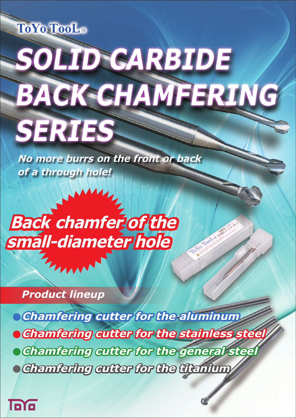

# **SOLID CARBIDE BACK CHAMFERING SERTES**

**No more burrs on the front or back of a through hole!**

# **Back chamfer of the small-diameter hole**

*Product lineup*

**Chamfering cutter for the aluminum • Chamfering cutter for the stainless ste** 

Io To Tool e est

**Chamfering cutter for the general steel**

**Chamfering cutter for the titanium**